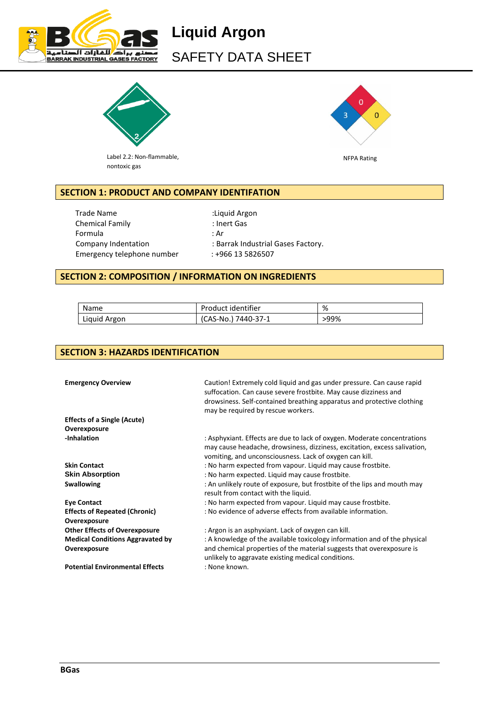

# **Liquid Argon**  SAFETY DATA SHEET



Label 2.2: Non-flammable, nontoxic gas



NFPA Rating

# **SECTION 1: PRODUCT AND COMPANY IDENTIFATION**

Trade Name : Liquid Argon Chemical Family **Example 20 Institute Chemical Family**  $\cdot$  Inert Gas Formula : Ar Emergency telephone number : +966 13 5826507

Company Indentation : Barrak Industrial Gases Factory.

## **SECTION 2: COMPOSITION / INFORMATION ON INGREDIENTS**

| Name         | Product identifier  | %    |
|--------------|---------------------|------|
| Liquid Argon | (CAS-No.) 7440-37-1 | >99% |

# **SECTION 3: HAZARDS IDENTIFICATION**

| <b>Emergency Overview</b>                            | Caution! Extremely cold liquid and gas under pressure. Can cause rapid<br>suffocation. Can cause severe frostbite. May cause dizziness and<br>drowsiness. Self-contained breathing apparatus and protective clothing<br>may be required by rescue workers. |
|------------------------------------------------------|------------------------------------------------------------------------------------------------------------------------------------------------------------------------------------------------------------------------------------------------------------|
| <b>Effects of a Single (Acute)</b>                   |                                                                                                                                                                                                                                                            |
| Overexposure                                         |                                                                                                                                                                                                                                                            |
| -Inhalation                                          | : Asphyxiant. Effects are due to lack of oxygen. Moderate concentrations<br>may cause headache, drowsiness, dizziness, excitation, excess salivation,<br>vomiting, and unconsciousness. Lack of oxygen can kill.                                           |
| <b>Skin Contact</b>                                  | : No harm expected from vapour. Liquid may cause frostbite.                                                                                                                                                                                                |
| <b>Skin Absorption</b>                               | : No harm expected. Liquid may cause frostbite.                                                                                                                                                                                                            |
| <b>Swallowing</b>                                    | : An unlikely route of exposure, but frostbite of the lips and mouth may<br>result from contact with the liquid.                                                                                                                                           |
| <b>Eye Contact</b>                                   | : No harm expected from vapour. Liquid may cause frostbite.                                                                                                                                                                                                |
| <b>Effects of Repeated (Chronic)</b><br>Overexposure | : No evidence of adverse effects from available information.                                                                                                                                                                                               |
| <b>Other Effects of Overexposure</b>                 | : Argon is an asphyxiant. Lack of oxygen can kill.                                                                                                                                                                                                         |
| <b>Medical Conditions Aggravated by</b>              | : A knowledge of the available toxicology information and of the physical                                                                                                                                                                                  |
| Overexposure                                         | and chemical properties of the material suggests that overexposure is<br>unlikely to aggravate existing medical conditions.                                                                                                                                |
| <b>Potential Environmental Effects</b>               | : None known.                                                                                                                                                                                                                                              |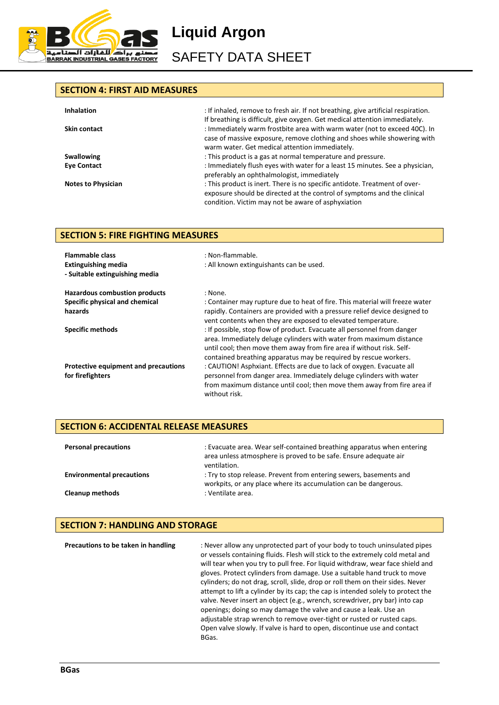

**Liquid Argon** 

SAFETY DATA SHEET

## **SECTION 4: FIRST AID MEASURES**

| <b>Inhalation</b>         | : If inhaled, remove to fresh air. If not breathing, give artificial respiration.                                                                                                                                                   |
|---------------------------|-------------------------------------------------------------------------------------------------------------------------------------------------------------------------------------------------------------------------------------|
| <b>Skin contact</b>       | If breathing is difficult, give oxygen. Get medical attention immediately.<br>: Immediately warm frostbite area with warm water (not to exceed 40C). In<br>case of massive exposure, remove clothing and shoes while showering with |
|                           | warm water. Get medical attention immediately.                                                                                                                                                                                      |
| <b>Swallowing</b>         | : This product is a gas at normal temperature and pressure.                                                                                                                                                                         |
| <b>Eye Contact</b>        | : Immediately flush eyes with water for a least 15 minutes. See a physician,<br>preferably an ophthalmologist, immediately                                                                                                          |
| <b>Notes to Physician</b> | : This product is inert. There is no specific antidote. Treatment of over-<br>exposure should be directed at the control of symptoms and the clinical<br>condition. Victim may not be aware of asphyxiation                         |

## **SECTION 5: FIRE FIGHTING MEASURES**

| <b>Flammable class</b><br><b>Extinguishing media</b><br>- Suitable extinguishing media | : Non-flammable.<br>: All known extinguishants can be used.                                                                                                                                                                                                                                 |
|----------------------------------------------------------------------------------------|---------------------------------------------------------------------------------------------------------------------------------------------------------------------------------------------------------------------------------------------------------------------------------------------|
| <b>Hazardous combustion products</b>                                                   | : None.                                                                                                                                                                                                                                                                                     |
| Specific physical and chemical                                                         | : Container may rupture due to heat of fire. This material will freeze water                                                                                                                                                                                                                |
| hazards                                                                                | rapidly. Containers are provided with a pressure relief device designed to<br>vent contents when they are exposed to elevated temperature.                                                                                                                                                  |
| <b>Specific methods</b>                                                                | : If possible, stop flow of product. Evacuate all personnel from danger<br>area. Immediately deluge cylinders with water from maximum distance<br>until cool; then move them away from fire area if without risk. Self-<br>contained breathing apparatus may be required by rescue workers. |
| Protective equipment and precautions<br>for firefighters                               | : CAUTION! Asphxiant. Effects are due to lack of oxygen. Evacuate all<br>personnel from danger area. Immediately deluge cylinders with water<br>from maximum distance until cool; then move them away from fire area if<br>without risk.                                                    |

## **SECTION 6: ACCIDENTAL RELEASE MEASURES**

| <b>Personal precautions</b>      | : Evacuate area. Wear self-contained breathing apparatus when entering<br>area unless atmosphere is proved to be safe. Ensure adequate air<br>ventilation. |
|----------------------------------|------------------------------------------------------------------------------------------------------------------------------------------------------------|
| <b>Environmental precautions</b> | : Try to stop release. Prevent from entering sewers, basements and<br>workpits, or any place where its accumulation can be dangerous.                      |
| <b>Cleanup methods</b>           | : Ventilate area.                                                                                                                                          |

## **SECTION 7: HANDLING AND STORAGE**

| Precautions to be taken in handling | : Never allow any unprotected part of your body to touch uninsulated pipes<br>or vessels containing fluids. Flesh will stick to the extremely cold metal and<br>will tear when you try to pull free. For liquid withdraw, wear face shield and<br>gloves. Protect cylinders from damage. Use a suitable hand truck to move<br>cylinders; do not drag, scroll, slide, drop or roll them on their sides. Never<br>attempt to lift a cylinder by its cap; the cap is intended solely to protect the<br>valve. Never insert an object (e.g., wrench, screwdriver, pry bar) into cap<br>openings; doing so may damage the valve and cause a leak. Use an<br>adjustable strap wrench to remove over-tight or rusted or rusted caps.<br>Open valve slowly. If valve is hard to open, discontinue use and contact<br>BGas. |
|-------------------------------------|--------------------------------------------------------------------------------------------------------------------------------------------------------------------------------------------------------------------------------------------------------------------------------------------------------------------------------------------------------------------------------------------------------------------------------------------------------------------------------------------------------------------------------------------------------------------------------------------------------------------------------------------------------------------------------------------------------------------------------------------------------------------------------------------------------------------|
|-------------------------------------|--------------------------------------------------------------------------------------------------------------------------------------------------------------------------------------------------------------------------------------------------------------------------------------------------------------------------------------------------------------------------------------------------------------------------------------------------------------------------------------------------------------------------------------------------------------------------------------------------------------------------------------------------------------------------------------------------------------------------------------------------------------------------------------------------------------------|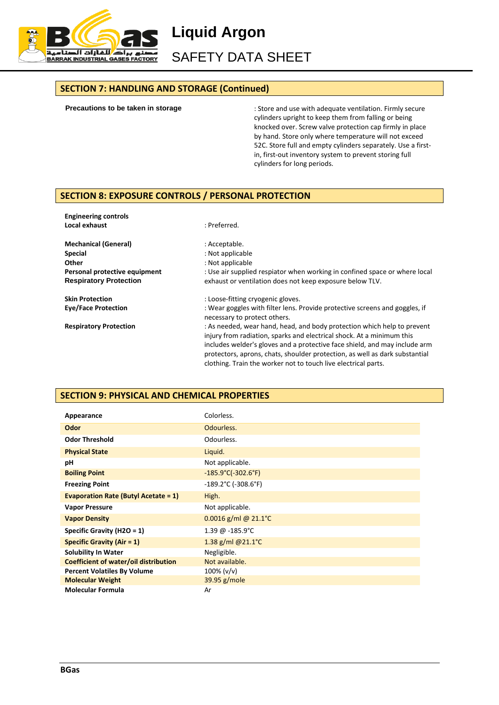

**Liquid Argon**  SAFETY DATA SHEET

#### **SECTION 7: HANDLING AND STORAGE (Continued)**

**Precautions to be taken in storage**

: Store and use with adequate ventilation. Firmly secure cylinders upright to keep them from falling or being knocked over. Screw valve protection cap firmly in place by hand. Store only where temperature will not exceed 52C. Store full and empty cylinders separately. Use a firstin, first-out inventory system to prevent storing full cylinders for long periods.

## **SECTION 8: EXPOSURE CONTROLS / PERSONAL PROTECTION**

**Engineering controls Local exhaust** in the contract of the contract of the contract of the contract of the contract of the contract of the contract of the contract of the contract of the contract of the contract of the contract of the contrac

| <b>Mechanical (General)</b><br><b>Special</b><br>Other<br>Personal protective equipment<br><b>Respiratory Protection</b> | : Acceptable.<br>: Not applicable<br>: Not applicable<br>: Use air supplied respiator when working in confined space or where local<br>exhaust or ventilation does not keep exposure below TLV.                                                                                                                                                                                 |
|--------------------------------------------------------------------------------------------------------------------------|---------------------------------------------------------------------------------------------------------------------------------------------------------------------------------------------------------------------------------------------------------------------------------------------------------------------------------------------------------------------------------|
| <b>Skin Protection</b>                                                                                                   | : Loose-fitting cryogenic gloves.                                                                                                                                                                                                                                                                                                                                               |
| <b>Eve/Face Protection</b>                                                                                               | : Wear goggles with filter lens. Provide protective screens and goggles, if<br>necessary to protect others.                                                                                                                                                                                                                                                                     |
| <b>Respiratory Protection</b>                                                                                            | : As needed, wear hand, head, and body protection which help to prevent<br>injury from radiation, sparks and electrical shock. At a minimum this<br>includes welder's gloves and a protective face shield, and may include arm<br>protectors, aprons, chats, shoulder protection, as well as dark substantial<br>clothing. Train the worker not to touch live electrical parts. |

## **SECTION 9: PHYSICAL AND CHEMICAL PROPERTIES**

| Appearance                                   | Colorless.                               |
|----------------------------------------------|------------------------------------------|
| Odor                                         | Odourless.                               |
| <b>Odor Threshold</b>                        | Odourless.                               |
| <b>Physical State</b>                        | Liquid.                                  |
| рH                                           | Not applicable.                          |
| <b>Boiling Point</b>                         | $-185.9^{\circ}C(-302.6^{\circ}F)$       |
| <b>Freezing Point</b>                        | $-189.2^{\circ}$ C (-308.6 $^{\circ}$ F) |
| <b>Evaporation Rate (Butyl Acetate = 1)</b>  | High.                                    |
| <b>Vapor Pressure</b>                        | Not applicable.                          |
| <b>Vapor Density</b>                         | 0.0016 g/ml @ 21.1°C                     |
| Specific Gravity (H2O = 1)                   | 1.39 @ -185.9°C                          |
| <b>Specific Gravity (Air = 1)</b>            | 1.38 g/ml @21.1 $^{\circ}$ C             |
| <b>Solubility In Water</b>                   | Negligible.                              |
| <b>Coefficient of water/oil distribution</b> | Not available.                           |
| <b>Percent Volatiles By Volume</b>           | $100\%$ (v/v)                            |
| <b>Molecular Weight</b>                      | 39.95 g/mole                             |
| <b>Molecular Formula</b>                     | Ar                                       |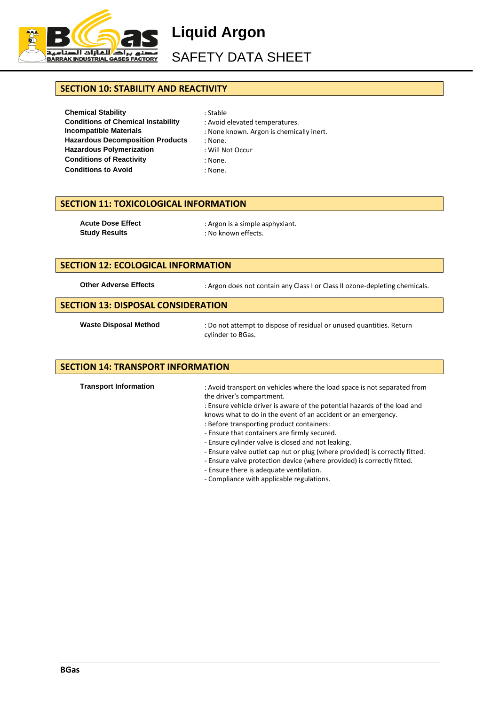

**Liquid Argon** 

SAFETY DATA SHEET

## **SECTION 10: STABILITY AND REACTIVITY**

**Chemical Stability** : Stable **Conditions of Chemical Instability** : Avoid elevated temperatures. **Incompatible Materials** : None known. Argon is chemically inert. **Hazardous Decomposition Products** : None. **Hazardous Polymerization** : Will Not Occur **Conditions of Reactivity** : None. **Conditions to Avoid** : None.

- 
- 
- 
- -
	-

# **SECTION 11: TOXICOLOGICAL INFORMATION**

**Acute Dose Effect** : Argon is a simple asphyxiant.<br> **Study Results** : No known effects. **Study Results** : No known effects.

#### **SECTION 12: ECOLOGICAL INFORMATION**

Other Adverse Effects : Argon does not contain any Class I or Class II ozone-depleting chemicals.

## **SECTION 13: DISPOSAL CONSIDERATION**

Waste Disposal Method : Do not attempt to dispose of residual or unused quantities. Return cylinder to BGas.

#### **SECTION 14: TRANSPORT INFORMATION**

**Transport Information** : Avoid transport on vehicles where the load space is not separated from the driver's compartment. : Ensure vehicle driver is aware of the potential hazards of the load and knows what to do in the event of an accident or an emergency. : Before transporting product containers: - Ensure that containers are firmly secured. - Ensure cylinder valve is closed and not leaking. - Ensure valve outlet cap nut or plug (where provided) is correctly fitted. - Ensure valve protection device (where provided) is correctly fitted. - Ensure there is adequate ventilation.

- Compliance with applicable regulations.